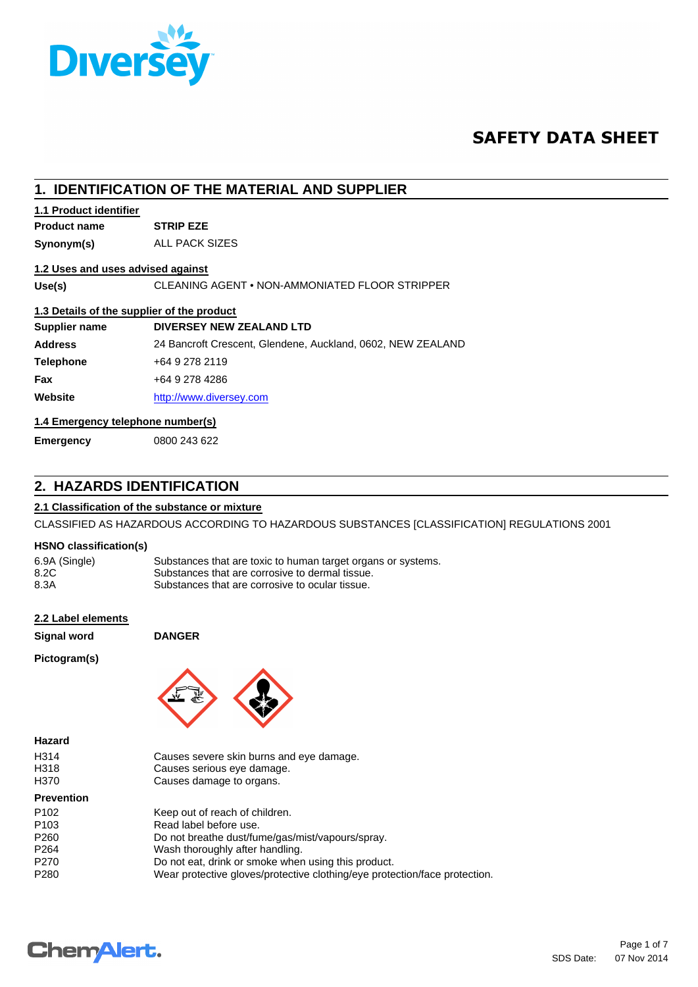

# **SAFETY DATA SHEET**

| 1. IDENTIFICATION OF THE MATERIAL AND SUPPLIER |                                                             |  |  |
|------------------------------------------------|-------------------------------------------------------------|--|--|
| 1.1 Product identifier                         |                                                             |  |  |
| <b>Product name</b>                            | <b>STRIP EZE</b>                                            |  |  |
| Synonym(s)                                     | ALL PACK SIZES                                              |  |  |
| 1.2 Uses and uses advised against              |                                                             |  |  |
| Use(s)                                         | CLEANING AGENT • NON-AMMONIATED FLOOR STRIPPER              |  |  |
| 1.3 Details of the supplier of the product     |                                                             |  |  |
| Supplier name                                  | DIVERSEY NEW ZEALAND LTD                                    |  |  |
| <b>Address</b>                                 | 24 Bancroft Crescent, Glendene, Auckland, 0602, NEW ZEALAND |  |  |
| <b>Telephone</b>                               | +64 9 278 2119                                              |  |  |
| Fax                                            | +64 9 278 4286                                              |  |  |
| Website                                        | http://www.diversey.com                                     |  |  |
| 1.4 Emergency telephone number(s)              |                                                             |  |  |
| <b>Emergency</b>                               | 0800 243 622                                                |  |  |
|                                                |                                                             |  |  |

# **2. HAZARDS IDENTIFICATION**

# **2.1 Classification of the substance or mixture**

CLASSIFIED AS HAZARDOUS ACCORDING TO HAZARDOUS SUBSTANCES [CLASSIFICATION] REGULATIONS 2001

# **HSNO classification(s)**

| 6.9A (Single) | Substances that are toxic to human target organs or systems. |
|---------------|--------------------------------------------------------------|
| 8.2C          | Substances that are corrosive to dermal tissue.              |
| 8.3A          | Substances that are corrosive to ocular tissue.              |

# **2.2 Label elements**

**Signal word DANGER**

# **Pictogram(s)**



### **Hazard**

| Causes severe skin burns and eye damage.<br>Causes serious eye damage.<br>Causes damage to organs. |
|----------------------------------------------------------------------------------------------------|
|                                                                                                    |
| Keep out of reach of children.                                                                     |
| Read label before use.                                                                             |
| Do not breathe dust/fume/gas/mist/vapours/spray.                                                   |
| Wash thoroughly after handling.                                                                    |
| Do not eat, drink or smoke when using this product.                                                |
| Wear protective gloves/protective clothing/eye protection/face protection.                         |
|                                                                                                    |

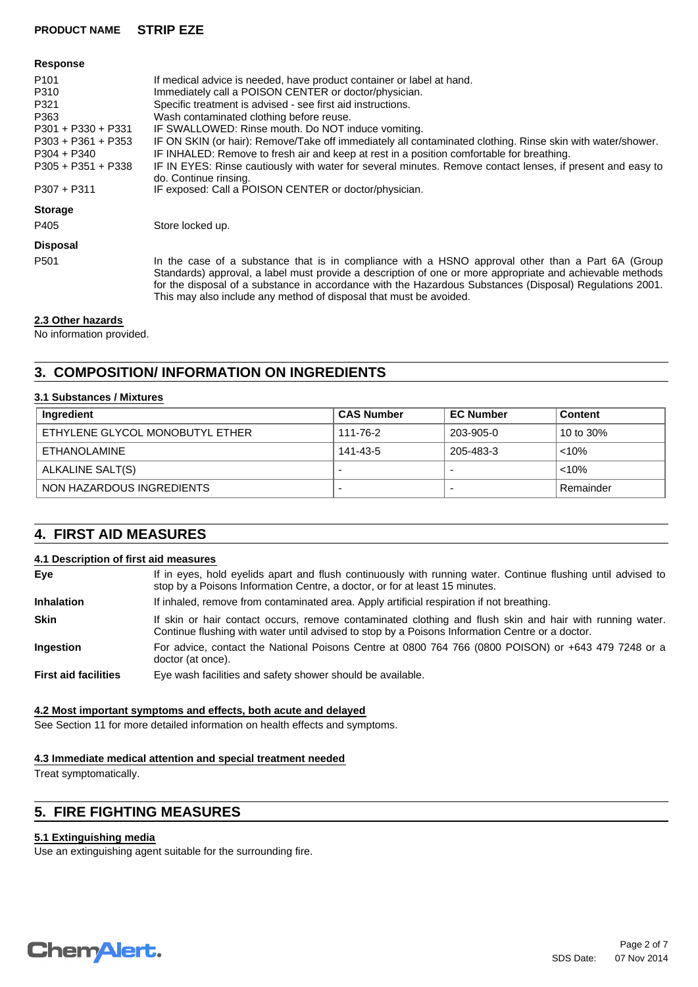# P501 In the case of a substance that is in compliance with a HSNO approval other than a Part 6A (Group Standards) approval, a label must provide a description of one or more appropriate and achievable methods for the disposal of a substance in accordance with the Hazardous Substances (Disposal) Regulations 2001. This may also include any method of disposal that must be avoided. **Disposal** P405 Store locked up. **Storage** P101 If medical advice is needed, have product container or label at hand. P310 **Immediately call a POISON CENTER or doctor/physician.** P321 Specific treatment is advised - see first aid instructions.<br>P363 Wash contaminated clothing before reuse. Wash contaminated clothing before reuse. P301 + P330 + P331 IF SWALLOWED: Rinse mouth. Do NOT induce vomiting. P303 + P361 + P353 IF ON SKIN (or hair): Remove/Take off immediately all contaminated clothing. Rinse skin with water/shower. P304 + P340 IF INHALED: Remove to fresh air and keep at rest in a position comfortable for breathing.<br>P305 + P351 + P338 IF IN EYES: Rinse cautiously with water for several minutes. Remove contact lenses, if p IF IN EYES: Rinse cautiously with water for several minutes. Remove contact lenses, if present and easy to do. Continue rinsing. P307 + P311 IF exposed: Call a POISON CENTER or doctor/physician. **Response**

### **2.3 Other hazards**

No information provided.

# **3. COMPOSITION/ INFORMATION ON INGREDIENTS**

## **3.1 Substances / Mixtures**

| Ingredient                      | <b>CAS Number</b> | <b>EC Number</b> | <b>Content</b> |
|---------------------------------|-------------------|------------------|----------------|
| ETHYLENE GLYCOL MONOBUTYL ETHER | 111-76-2          | 203-905-0        | 10 to 30%      |
| ETHANOLAMINE                    | 141-43-5          | 205-483-3        | < 10%          |
| ALKALINE SALT(S)                |                   |                  | < 10%          |
| NON HAZARDOUS INGREDIENTS       |                   |                  | Remainder      |

# **4. FIRST AID MEASURES**

### **4.1 Description of first aid measures**

| Eye                         | If in eyes, hold eyelids apart and flush continuously with running water. Continue flushing until advised to<br>stop by a Poisons Information Centre, a doctor, or for at least 15 minutes.                 |
|-----------------------------|-------------------------------------------------------------------------------------------------------------------------------------------------------------------------------------------------------------|
| <b>Inhalation</b>           | If inhaled, remove from contaminated area. Apply artificial respiration if not breathing.                                                                                                                   |
| <b>Skin</b>                 | If skin or hair contact occurs, remove contaminated clothing and flush skin and hair with running water.<br>Continue flushing with water until advised to stop by a Poisons Information Centre or a doctor. |
| Ingestion                   | For advice, contact the National Poisons Centre at 0800 764 766 (0800 POISON) or +643 479 7248 or a<br>doctor (at once).                                                                                    |
| <b>First aid facilities</b> | Eye wash facilities and safety shower should be available.                                                                                                                                                  |

### **4.2 Most important symptoms and effects, both acute and delayed**

See Section 11 for more detailed information on health effects and symptoms.

# **4.3 Immediate medical attention and special treatment needed**

Treat symptomatically.

# **5. FIRE FIGHTING MEASURES**

# **5.1 Extinguishing media**

Use an extinguishing agent suitable for the surrounding fire.

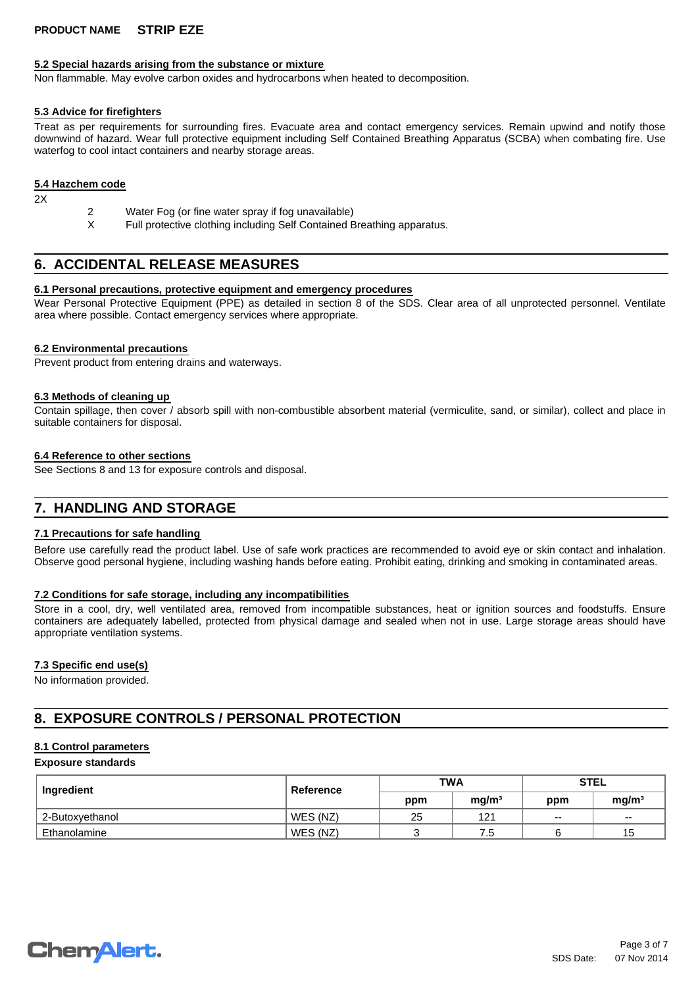### **5.2 Special hazards arising from the substance or mixture**

Non flammable. May evolve carbon oxides and hydrocarbons when heated to decomposition.

### **5.3 Advice for firefighters**

Treat as per requirements for surrounding fires. Evacuate area and contact emergency services. Remain upwind and notify those downwind of hazard. Wear full protective equipment including Self Contained Breathing Apparatus (SCBA) when combating fire. Use waterfog to cool intact containers and nearby storage areas.

### **5.4 Hazchem code**

 $2X$ 

- 2 Water Fog (or fine water spray if fog unavailable)<br>
X Full protective clothing including Self Contained E
- Full protective clothing including Self Contained Breathing apparatus.

# **6. ACCIDENTAL RELEASE MEASURES**

### **6.1 Personal precautions, protective equipment and emergency procedures**

Wear Personal Protective Equipment (PPE) as detailed in section 8 of the SDS. Clear area of all unprotected personnel. Ventilate area where possible. Contact emergency services where appropriate.

#### **6.2 Environmental precautions**

Prevent product from entering drains and waterways.

#### **6.3 Methods of cleaning up**

Contain spillage, then cover / absorb spill with non-combustible absorbent material (vermiculite, sand, or similar), collect and place in suitable containers for disposal.

### **6.4 Reference to other sections**

See Sections 8 and 13 for exposure controls and disposal.

# **7. HANDLING AND STORAGE**

### **7.1 Precautions for safe handling**

Before use carefully read the product label. Use of safe work practices are recommended to avoid eye or skin contact and inhalation. Observe good personal hygiene, including washing hands before eating. Prohibit eating, drinking and smoking in contaminated areas.

### **7.2 Conditions for safe storage, including any incompatibilities**

Store in a cool, dry, well ventilated area, removed from incompatible substances, heat or ignition sources and foodstuffs. Ensure containers are adequately labelled, protected from physical damage and sealed when not in use. Large storage areas should have appropriate ventilation systems.

### **7.3 Specific end use(s)**

No information provided.

# **8. EXPOSURE CONTROLS / PERSONAL PROTECTION**

#### **8.1 Control parameters**

### **Exposure standards**

| Ingredient      | <b>Reference</b> | <b>TWA</b> |                   | <b>STEL</b>   |                   |
|-----------------|------------------|------------|-------------------|---------------|-------------------|
|                 |                  | ppm        | mg/m <sup>3</sup> | ppm           | mq/m <sup>3</sup> |
| 2-Butoxvethanol | WES (NZ)         | 25         | 121               | $\sim$ $\sim$ | $-$               |
| Ethanolamine    | WES (NZ)         |            | ′.5               |               | 15                |

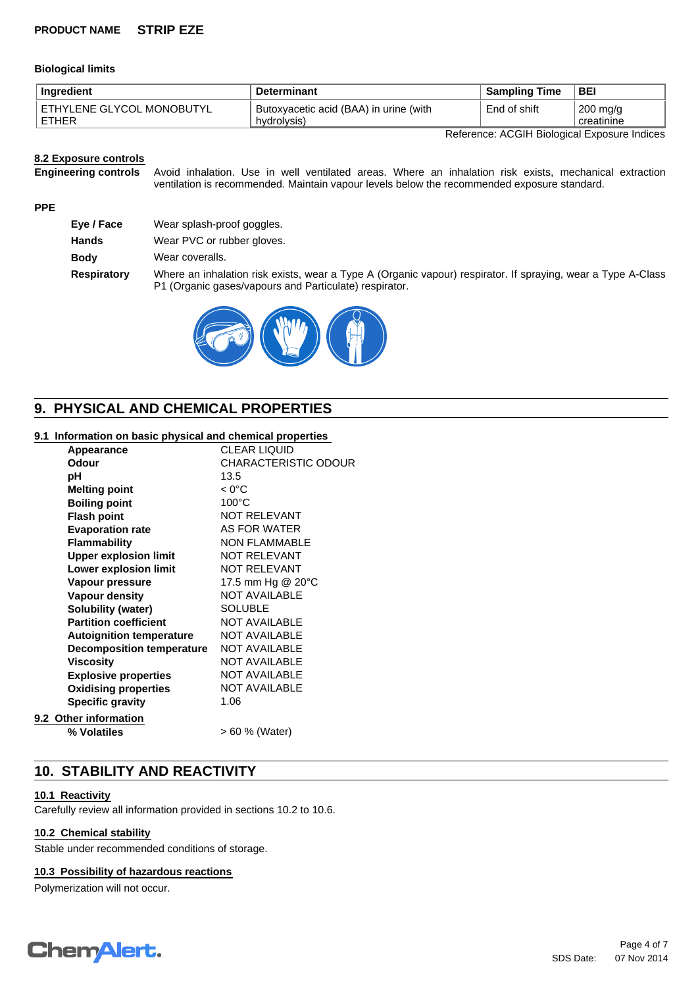## **Biological limits**

| Ingredient                | <b>Determinant</b>                                  | <b>Sampling Time</b> | BEI                |
|---------------------------|-----------------------------------------------------|----------------------|--------------------|
| ETHYLENE GLYCOL MONOBUTYL | <sup>1</sup> Butoxyacetic acid (BAA) in urine (with | End of shift         | $200 \text{ mq/q}$ |
| <b>ETHER</b>              | hydrolysis)                                         |                      | creatinine         |

Reference: ACGIH Biological Exposure Indices

### **8.2 Exposure controls**

**Engineering controls** Avoid inhalation. Use in well ventilated areas. Where an inhalation risk exists, mechanical extraction ventilation is recommended. Maintain vapour levels below the recommended exposure standard.

### **PPE**

| Eye / Face  | Wear splash-proof goggles.                                                                                                                                             |
|-------------|------------------------------------------------------------------------------------------------------------------------------------------------------------------------|
| Hands       | Wear PVC or rubber gloves.                                                                                                                                             |
| <b>Body</b> | Wear coveralls.                                                                                                                                                        |
| Respiratory | Where an inhalation risk exists, wear a Type A (Organic vapour) respirator. If spraying, wear a Type A-Class<br>P1 (Organic gases/vapours and Particulate) respirator. |



# **9. PHYSICAL AND CHEMICAL PROPERTIES**

## **9.1 Information on basic physical and chemical properties**

| Appearance                      |                                  | <b>CLEAR LIQUID</b>         |
|---------------------------------|----------------------------------|-----------------------------|
| Odour                           |                                  | <b>CHARACTERISTIC ODOUR</b> |
| рH                              |                                  | 13.5                        |
| <b>Melting point</b>            |                                  | $< 0^{\circ}$ C             |
| <b>Boiling point</b>            |                                  | $100^{\circ}$ C             |
| <b>Flash point</b>              |                                  | NOT RELEVANT                |
| <b>Evaporation rate</b>         |                                  | AS FOR WATER                |
| <b>Flammability</b>             |                                  | <b>NON FLAMMABLE</b>        |
| <b>Upper explosion limit</b>    |                                  | <b>NOT RELEVANT</b>         |
| Lower explosion limit           |                                  | <b>NOT RELEVANT</b>         |
| Vapour pressure                 |                                  | 17.5 mm Hg @ 20°C           |
| <b>Vapour density</b>           |                                  | <b>NOT AVAILABLE</b>        |
| Solubility (water)              |                                  | <b>SOLUBLE</b>              |
| <b>Partition coefficient</b>    |                                  | <b>NOT AVAILABLE</b>        |
| <b>Autoignition temperature</b> |                                  | <b>NOT AVAILABLE</b>        |
|                                 | <b>Decomposition temperature</b> | <b>NOT AVAILABLE</b>        |
| Viscosity                       |                                  | <b>NOT AVAILABLE</b>        |
| <b>Explosive properties</b>     |                                  | <b>NOT AVAILABLE</b>        |
| <b>Oxidising properties</b>     |                                  | <b>NOT AVAILABLE</b>        |
| <b>Specific gravity</b>         |                                  | 1.06                        |
| 9.2 Other information           |                                  |                             |
| % Volatiles                     |                                  | > 60 % (Water)              |

# **10. STABILITY AND REACTIVITY**

# **10.1 Reactivity**

Carefully review all information provided in sections 10.2 to 10.6.

### **10.2 Chemical stability**

Stable under recommended conditions of storage.

### **10.3 Possibility of hazardous reactions**

Polymerization will not occur.

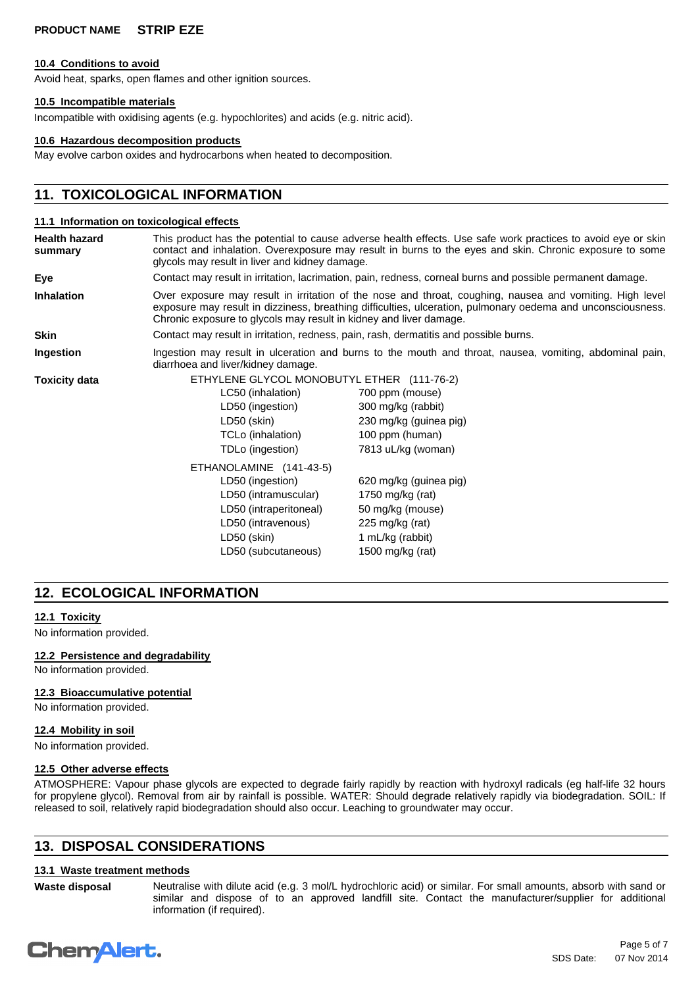#### **10.4 Conditions to avoid**

Avoid heat, sparks, open flames and other ignition sources.

### **10.5 Incompatible materials**

Incompatible with oxidising agents (e.g. hypochlorites) and acids (e.g. nitric acid).

#### **10.6 Hazardous decomposition products**

May evolve carbon oxides and hydrocarbons when heated to decomposition.

# **11. TOXICOLOGICAL INFORMATION**

#### **11.1 Information on toxicological effects**

| <b>Health hazard</b><br>summary | This product has the potential to cause adverse health effects. Use safe work practices to avoid eye or skin<br>contact and inhalation. Overexposure may result in burns to the eyes and skin. Chronic exposure to some<br>glycols may result in liver and kidney damage.                     |                                                                                                                                                        |  |
|---------------------------------|-----------------------------------------------------------------------------------------------------------------------------------------------------------------------------------------------------------------------------------------------------------------------------------------------|--------------------------------------------------------------------------------------------------------------------------------------------------------|--|
| Eye                             | Contact may result in irritation, lacrimation, pain, redness, corneal burns and possible permanent damage.                                                                                                                                                                                    |                                                                                                                                                        |  |
| <b>Inhalation</b>               | Over exposure may result in irritation of the nose and throat, coughing, nausea and vomiting. High level<br>exposure may result in dizziness, breathing difficulties, ulceration, pulmonary oedema and unconsciousness.<br>Chronic exposure to glycols may result in kidney and liver damage. |                                                                                                                                                        |  |
| Skin                            |                                                                                                                                                                                                                                                                                               | Contact may result in irritation, redness, pain, rash, dermatitis and possible burns.                                                                  |  |
| Ingestion                       | Ingestion may result in ulceration and burns to the mouth and throat, nausea, vomiting, abdominal pain,<br>diarrhoea and liver/kidney damage.                                                                                                                                                 |                                                                                                                                                        |  |
| Toxicity data                   | LC50 (inhalation)<br>LD50 (ingestion)<br>LD50 (skin)<br>TCLo (inhalation)<br>TDLo (ingestion)                                                                                                                                                                                                 | ETHYLENE GLYCOL MONOBUTYL ETHER (111-76-2)<br>700 ppm (mouse)<br>300 mg/kg (rabbit)<br>230 mg/kg (guinea pig)<br>100 ppm (human)<br>7813 uL/kg (woman) |  |
|                                 | ETHANOLAMINE (141-43-5)<br>LD50 (ingestion)<br>LD50 (intramuscular)<br>LD50 (intraperitoneal)<br>LD50 (intravenous)<br>LD50 (skin)<br>LD50 (subcutaneous)                                                                                                                                     | 620 mg/kg (guinea pig)<br>1750 mg/kg (rat)<br>50 mg/kg (mouse)<br>225 mg/kg (rat)<br>1 mL/kg (rabbit)<br>1500 mg/kg (rat)                              |  |

# **12. ECOLOGICAL INFORMATION**

### **12.1 Toxicity**

No information provided.

**12.2 Persistence and degradability**

No information provided.

### **12.3 Bioaccumulative potential**

No information provided.

#### **12.4 Mobility in soil**

No information provided.

### **12.5 Other adverse effects**

ATMOSPHERE: Vapour phase glycols are expected to degrade fairly rapidly by reaction with hydroxyl radicals (eg half-life 32 hours for propylene glycol). Removal from air by rainfall is possible. WATER: Should degrade relatively rapidly via biodegradation. SOIL: If released to soil, relatively rapid biodegradation should also occur. Leaching to groundwater may occur.

# **13. DISPOSAL CONSIDERATIONS**

### **13.1 Waste treatment methods**

**Waste disposal** Neutralise with dilute acid (e.g. 3 mol/L hydrochloric acid) or similar. For small amounts, absorb with sand or similar and dispose of to an approved landfill site. Contact the manufacturer/supplier for additional information (if required).

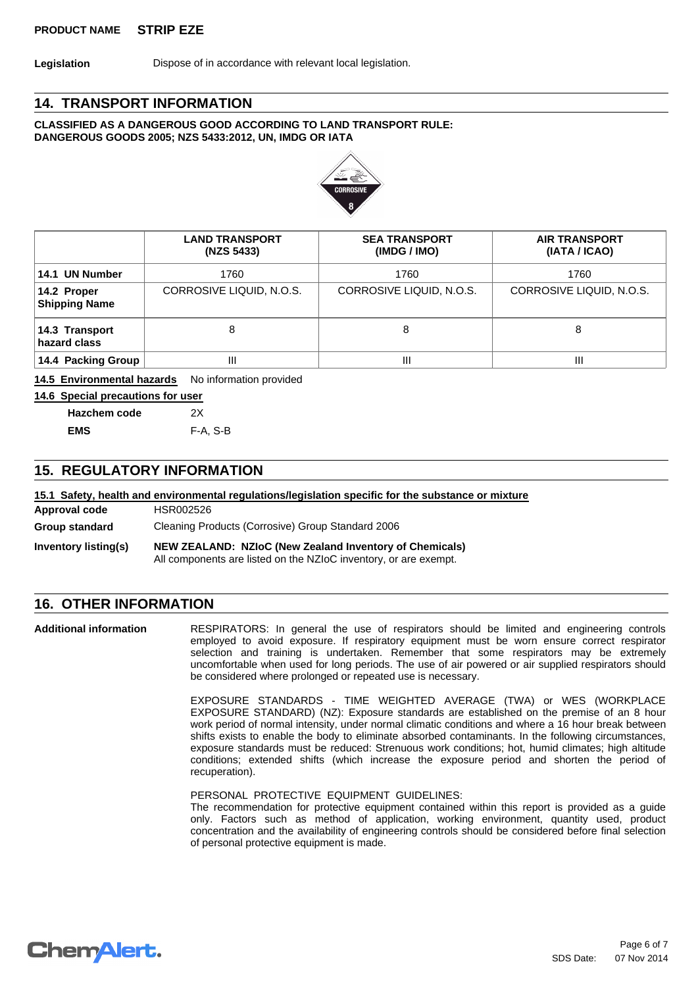# **14. TRANSPORT INFORMATION**

## **CLASSIFIED AS A DANGEROUS GOOD ACCORDING TO LAND TRANSPORT RULE: DANGEROUS GOODS 2005; NZS 5433:2012, UN, IMDG OR IATA**



|                                     | <b>LAND TRANSPORT</b><br>(NZS 5433) | <b>SEA TRANSPORT</b><br>(IMDG / IMO) | <b>AIR TRANSPORT</b><br>(IATA / ICAO) |
|-------------------------------------|-------------------------------------|--------------------------------------|---------------------------------------|
| 14.1 UN Number                      | 1760                                | 1760                                 | 1760                                  |
| 14.2 Proper<br><b>Shipping Name</b> | CORROSIVE LIQUID, N.O.S.            | CORROSIVE LIQUID, N.O.S.             | CORROSIVE LIQUID, N.O.S.              |
| 14.3 Transport<br>hazard class      |                                     | 8                                    | 8                                     |
| 14.4 Packing Group                  | Ш                                   | Ш                                    | $\mathbf{III}$                        |

**14.5 Environmental hazards** No information provided

### **14.6 Special precautions for user**

| Hazchem code | 2X       |
|--------------|----------|
| EMS          | F-A, S-B |

# **15. REGULATORY INFORMATION**

**NEW ZEALAND: NZIoC (New Zealand Inventory of Chemicals)** All components are listed on the NZIoC inventory, or are exempt. **Inventory listing(s) 15.1 Safety, health and environmental regulations/legislation specific for the substance or mixture Approval code** HSR002526 **Group standard** Cleaning Products (Corrosive) Group Standard 2006

# **16. OTHER INFORMATION**

RESPIRATORS: In general the use of respirators should be limited and engineering controls employed to avoid exposure. If respiratory equipment must be worn ensure correct respirator selection and training is undertaken. Remember that some respirators may be extremely uncomfortable when used for long periods. The use of air powered or air supplied respirators should be considered where prolonged or repeated use is necessary. **Additional information**

> EXPOSURE STANDARDS - TIME WEIGHTED AVERAGE (TWA) or WES (WORKPLACE EXPOSURE STANDARD) (NZ): Exposure standards are established on the premise of an 8 hour work period of normal intensity, under normal climatic conditions and where a 16 hour break between shifts exists to enable the body to eliminate absorbed contaminants. In the following circumstances, exposure standards must be reduced: Strenuous work conditions; hot, humid climates; high altitude conditions; extended shifts (which increase the exposure period and shorten the period of recuperation).

PERSONAL PROTECTIVE EQUIPMENT GUIDELINES:

The recommendation for protective equipment contained within this report is provided as a guide only. Factors such as method of application, working environment, quantity used, product concentration and the availability of engineering controls should be considered before final selection of personal protective equipment is made.